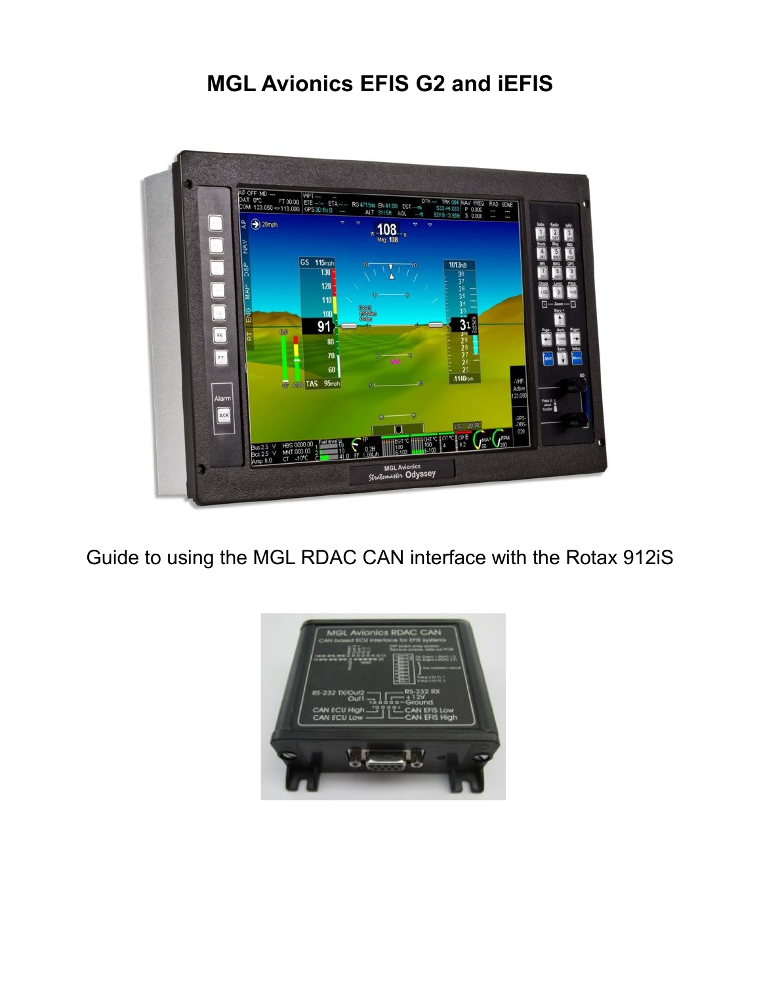# **MGL Avionics EFIS G2 and iEFIS**



Guide to using the MGL RDAC CAN interface with the Rotax 912iS

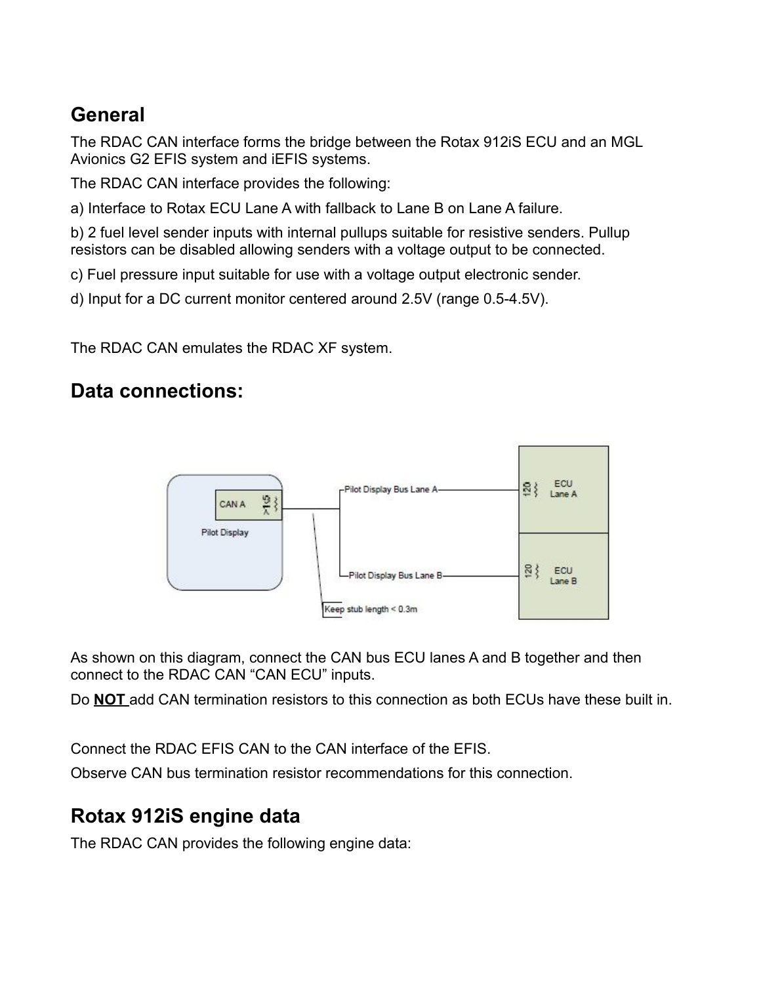## **General**

The RDAC CAN interface forms the bridge between the Rotax 912iS ECU and an MGL Avionics G2 EFIS system and iEFIS systems.

The RDAC CAN interface provides the following:

a) Interface to Rotax ECU Lane A with fallback to Lane B on Lane A failure.

b) 2 fuel level sender inputs with internal pullups suitable for resistive senders. Pullup resistors can be disabled allowing senders with a voltage output to be connected.

c) Fuel pressure input suitable for use with a voltage output electronic sender.

d) Input for a DC current monitor centered around 2.5V (range 0.5-4.5V).

The RDAC CAN emulates the RDAC XF system.

## **Data connections:**



As shown on this diagram, connect the CAN bus ECU lanes A and B together and then connect to the RDAC CAN "CAN ECU" inputs.

Do **NOT** add CAN termination resistors to this connection as both ECUs have these built in.

Connect the RDAC EFIS CAN to the CAN interface of the EFIS.

Observe CAN bus termination resistor recommendations for this connection.

## **Rotax 912iS engine data**

The RDAC CAN provides the following engine data: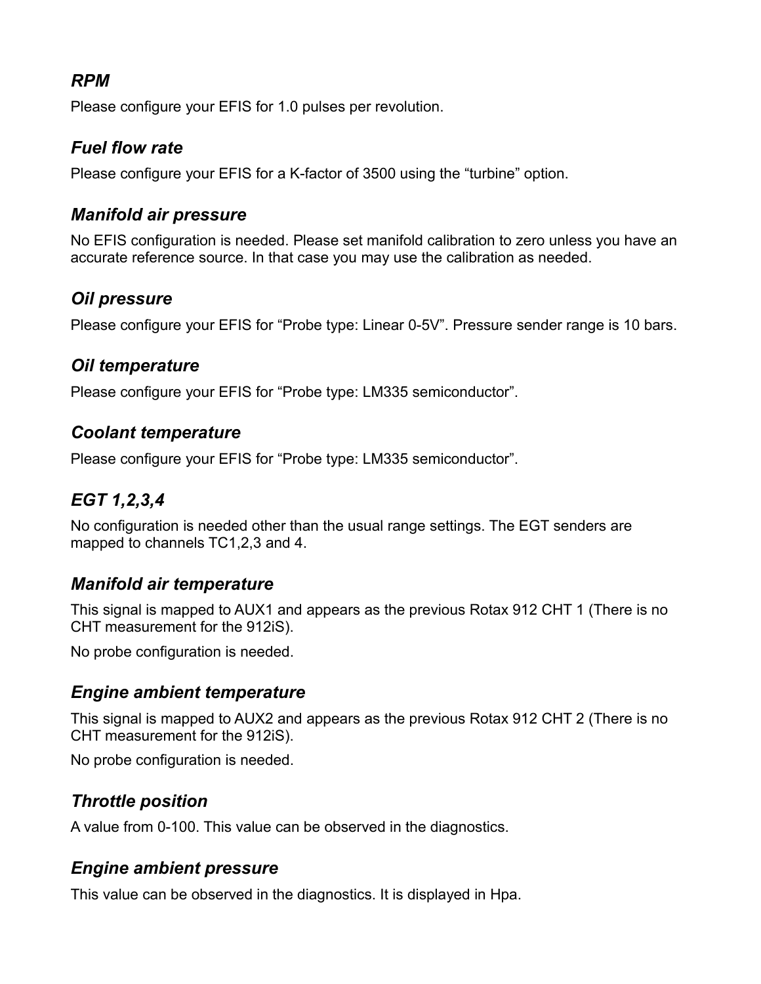### *RPM*

Please configure your EFIS for 1.0 pulses per revolution.

### *Fuel flow rate*

Please configure your EFIS for a K-factor of 3500 using the "turbine" option.

### *Manifold air pressure*

No EFIS configuration is needed. Please set manifold calibration to zero unless you have an accurate reference source. In that case you may use the calibration as needed.

### *Oil pressure*

Please configure your EFIS for "Probe type: Linear 0-5V". Pressure sender range is 10 bars.

#### *Oil temperature*

Please configure your EFIS for "Probe type: LM335 semiconductor".

#### *Coolant temperature*

Please configure your EFIS for "Probe type: LM335 semiconductor".

### *EGT 1,2,3,4*

No configuration is needed other than the usual range settings. The EGT senders are mapped to channels TC1,2,3 and 4.

### *Manifold air temperature*

This signal is mapped to AUX1 and appears as the previous Rotax 912 CHT 1 (There is no CHT measurement for the 912iS).

No probe configuration is needed.

### *Engine ambient temperature*

This signal is mapped to AUX2 and appears as the previous Rotax 912 CHT 2 (There is no CHT measurement for the 912iS).

No probe configuration is needed.

### *Throttle position*

A value from 0-100. This value can be observed in the diagnostics.

### *Engine ambient pressure*

This value can be observed in the diagnostics. It is displayed in Hpa.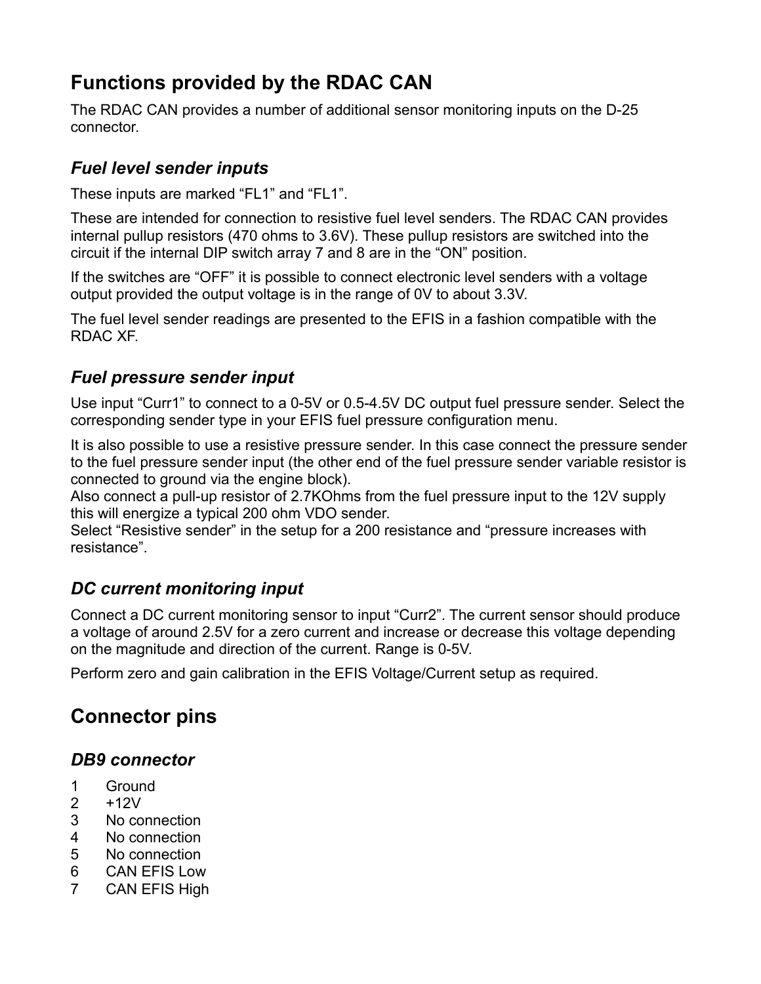# **Functions provided by the RDAC CAN**

The RDAC CAN provides a number of additional sensor monitoring inputs on the D-25 connector.

### *Fuel level sender inputs*

These inputs are marked "FL1" and "FL1".

These are intended for connection to resistive fuel level senders. The RDAC CAN provides internal pullup resistors (470 ohms to 3.6V). These pullup resistors are switched into the circuit if the internal DIP switch array 7 and 8 are in the "ON" position.

If the switches are "OFF" it is possible to connect electronic level senders with a voltage output provided the output voltage is in the range of 0V to about 3.3V.

The fuel level sender readings are presented to the EFIS in a fashion compatible with the RDAC XF.

## *Fuel pressure sender input*

Use input "Curr1" to connect to a 0-5V or 0.5-4.5V DC output fuel pressure sender. Select the corresponding sender type in your EFIS fuel pressure configuration menu.

It is also possible to use a resistive pressure sender. In this case connect the pressure sender to the fuel pressure sender input (the other end of the fuel pressure sender variable resistor is connected to ground via the engine block).

Also connect a pull-up resistor of 2.7KOhms from the fuel pressure input to the 12V supply this will energize a typical 200 ohm VDO sender.

Select "Resistive sender" in the setup for a 200 resistance and "pressure increases with resistance".

## *DC current monitoring input*

Connect a DC current monitoring sensor to input "Curr2". The current sensor should produce a voltage of around 2.5V for a zero current and increase or decrease this voltage depending on the magnitude and direction of the current. Range is 0-5V.

Perform zero and gain calibration in the EFIS Voltage/Current setup as required.

# **Connector pins**

### *DB9 connector*

- 1 Ground
- 2 +12V
- 3 No connection
- 4 No connection
- 5 No connection
- 6 CAN EFIS Low
- 7 CAN EFIS High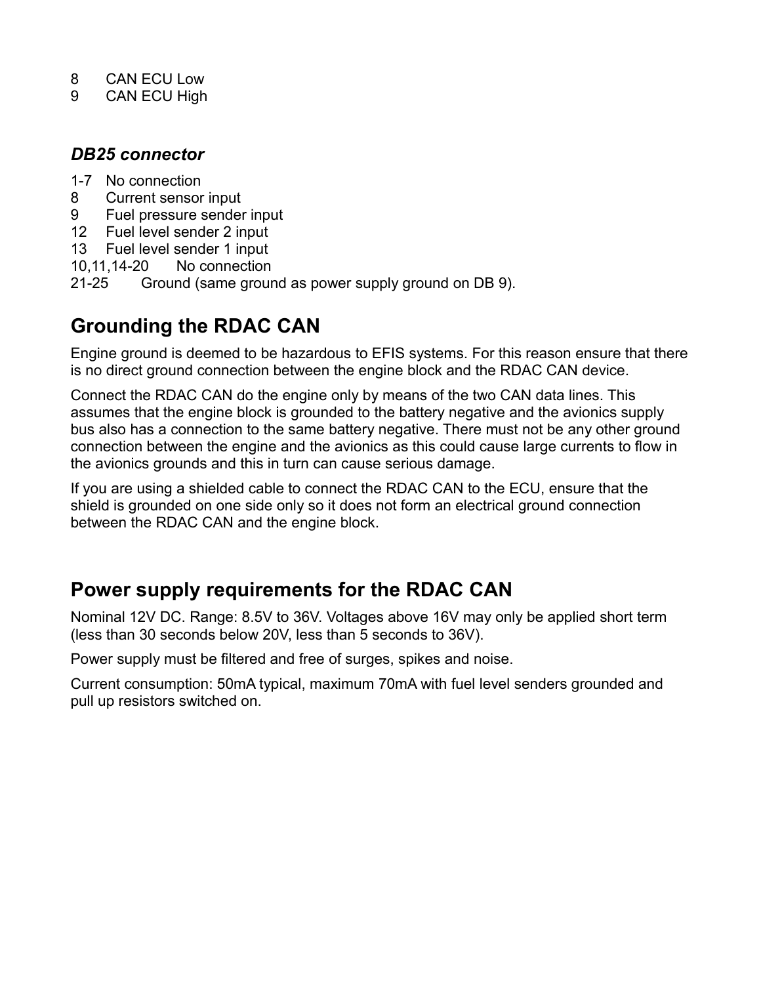- 8 CAN ECU Low
- 9 CAN ECU High

#### *DB25 connector*

- 1-7 No connection
- 8 Current sensor input
- 9 Fuel pressure sender input
- 12 Fuel level sender 2 input
- 13 Fuel level sender 1 input
- 10,11,14-20 No connection
- 21-25 Ground (same ground as power supply ground on DB 9).

## **Grounding the RDAC CAN**

Engine ground is deemed to be hazardous to EFIS systems. For this reason ensure that there is no direct ground connection between the engine block and the RDAC CAN device.

Connect the RDAC CAN do the engine only by means of the two CAN data lines. This assumes that the engine block is grounded to the battery negative and the avionics supply bus also has a connection to the same battery negative. There must not be any other ground connection between the engine and the avionics as this could cause large currents to flow in the avionics grounds and this in turn can cause serious damage.

If you are using a shielded cable to connect the RDAC CAN to the ECU, ensure that the shield is grounded on one side only so it does not form an electrical ground connection between the RDAC CAN and the engine block.

## **Power supply requirements for the RDAC CAN**

Nominal 12V DC. Range: 8.5V to 36V. Voltages above 16V may only be applied short term (less than 30 seconds below 20V, less than 5 seconds to 36V).

Power supply must be filtered and free of surges, spikes and noise.

Current consumption: 50mA typical, maximum 70mA with fuel level senders grounded and pull up resistors switched on.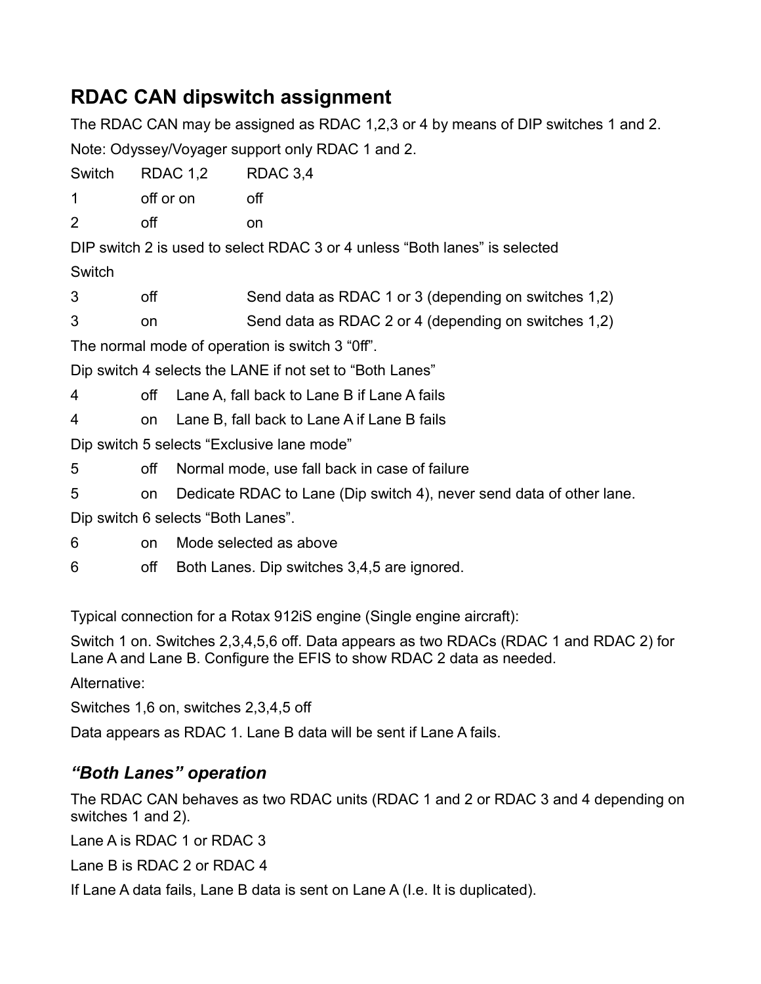## **RDAC CAN dipswitch assignment**

The RDAC CAN may be assigned as RDAC 1,2,3 or 4 by means of DIP switches 1 and 2. Note: Odyssey/Voyager support only RDAC 1 and 2. Switch RDAC 1.2 RDAC 3.4 1 off or on off 2 off on DIP switch 2 is used to select RDAC 3 or 4 unless "Both lanes" is selected Switch 3 off Send data as RDAC 1 or 3 (depending on switches 1,2) 3 on Send data as RDAC 2 or 4 (depending on switches 1,2) The normal mode of operation is switch 3 "0ff". Dip switch 4 selects the LANE if not set to "Both Lanes" 4 off Lane A, fall back to Lane B if Lane A fails 4 on Lane B, fall back to Lane A if Lane B fails Dip switch 5 selects "Exclusive lane mode" 5 off Normal mode, use fall back in case of failure 5 on Dedicate RDAC to Lane (Dip switch 4), never send data of other lane. Dip switch 6 selects "Both Lanes". 6 on Mode selected as above 6 off Both Lanes. Dip switches 3,4,5 are ignored.

Typical connection for a Rotax 912iS engine (Single engine aircraft):

Switch 1 on. Switches 2,3,4,5,6 off. Data appears as two RDACs (RDAC 1 and RDAC 2) for Lane A and Lane B. Configure the EFIS to show RDAC 2 data as needed.

Alternative:

Switches 1,6 on, switches 2,3,4,5 off

Data appears as RDAC 1. Lane B data will be sent if Lane A fails.

## *"Both Lanes" operation*

The RDAC CAN behaves as two RDAC units (RDAC 1 and 2 or RDAC 3 and 4 depending on switches 1 and 2).

Lane A is RDAC 1 or RDAC 3

Lane B is RDAC 2 or RDAC 4

If Lane A data fails, Lane B data is sent on Lane A (I.e. It is duplicated).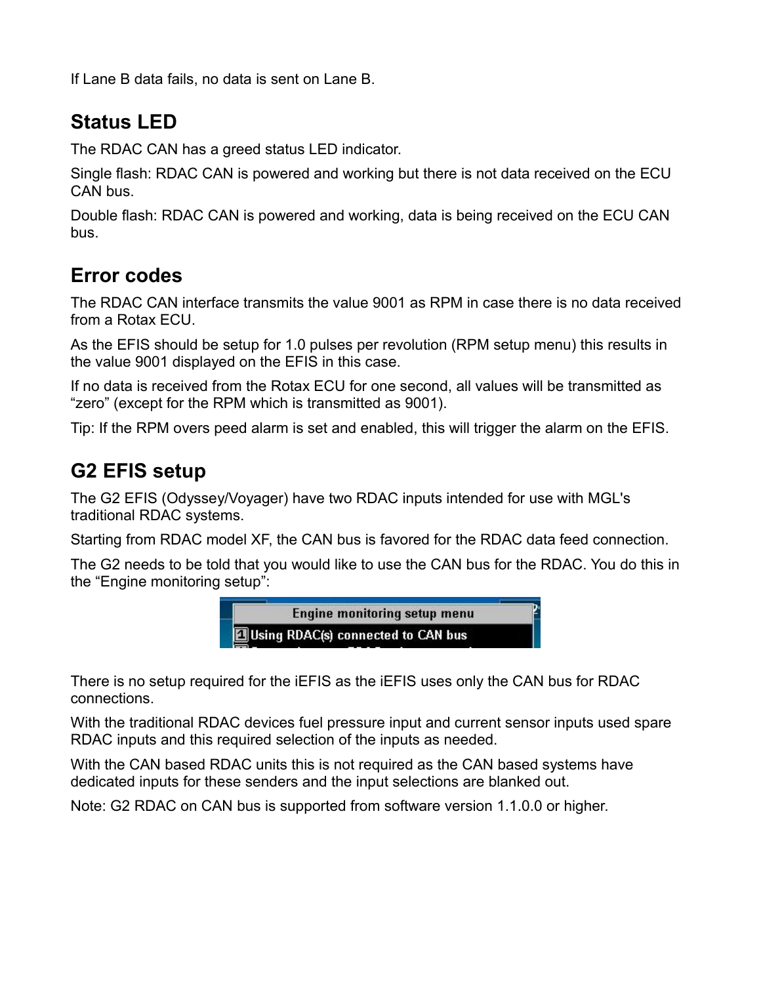If Lane B data fails, no data is sent on Lane B.

## **Status LED**

The RDAC CAN has a greed status LED indicator.

Single flash: RDAC CAN is powered and working but there is not data received on the ECU CAN bus.

Double flash: RDAC CAN is powered and working, data is being received on the ECU CAN bus.

## **Error codes**

The RDAC CAN interface transmits the value 9001 as RPM in case there is no data received from a Rotax ECU.

As the EFIS should be setup for 1.0 pulses per revolution (RPM setup menu) this results in the value 9001 displayed on the EFIS in this case.

If no data is received from the Rotax ECU for one second, all values will be transmitted as "zero" (except for the RPM which is transmitted as 9001).

Tip: If the RPM overs peed alarm is set and enabled, this will trigger the alarm on the EFIS.

## **G2 EFIS setup**

The G2 EFIS (Odyssey/Voyager) have two RDAC inputs intended for use with MGL's traditional RDAC systems.

Starting from RDAC model XF, the CAN bus is favored for the RDAC data feed connection.

The G2 needs to be told that you would like to use the CAN bus for the RDAC. You do this in the "Engine monitoring setup":



There is no setup required for the iEFIS as the iEFIS uses only the CAN bus for RDAC connections.

With the traditional RDAC devices fuel pressure input and current sensor inputs used spare RDAC inputs and this required selection of the inputs as needed.

With the CAN based RDAC units this is not required as the CAN based systems have dedicated inputs for these senders and the input selections are blanked out.

Note: G2 RDAC on CAN bus is supported from software version 1.1.0.0 or higher.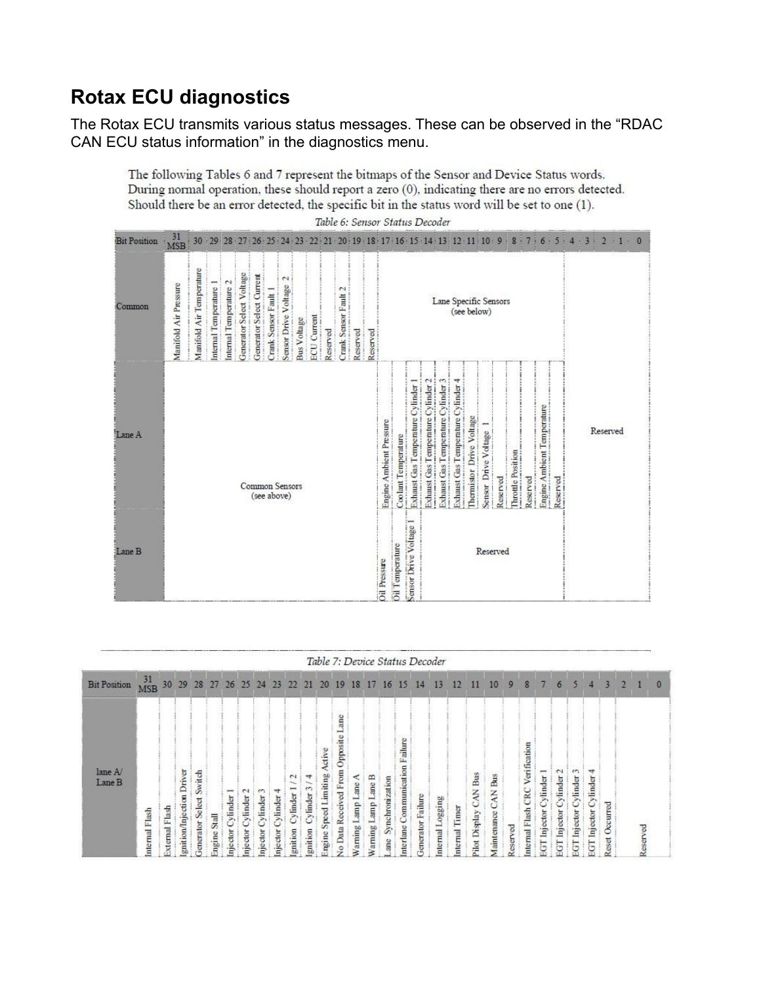# **Rotax ECU diagnostics**

The Rotax ECU transmits various status messages. These can be observed in the "RDAC CAN ECU status information" in the diagnostics menu.

The following Tables 6 and 7 represent the bitmaps of the Sensor and Device Status words. During normal operation, these should report a zero (0), indicating there are no errors detected. Should there be an error detected, the specific bit in the status word will be set to one (1). Table 6: Sensor Status Decoder

|                     |                       |                          |                                                                  |                        |                          |                          |                               |                                |                    |                    |          |                      |          | othou    |                         | OHM3D                  |                                  |                                     |                                    |                                    |                          |                                      |          |                  |          |                            |                |      |                  |   |          |
|---------------------|-----------------------|--------------------------|------------------------------------------------------------------|------------------------|--------------------------|--------------------------|-------------------------------|--------------------------------|--------------------|--------------------|----------|----------------------|----------|----------|-------------------------|------------------------|----------------------------------|-------------------------------------|------------------------------------|------------------------------------|--------------------------|--------------------------------------|----------|------------------|----------|----------------------------|----------------|------|------------------|---|----------|
| <b>Bit Position</b> | $\frac{31}{MSB}$      |                          | 30 29 28 27 26 25 24 23 22 21 20 19 18 17 16 15 14 13 12 11 10 9 |                        |                          |                          |                               |                                |                    |                    |          |                      |          |          |                         |                        |                                  |                                     |                                    |                                    |                          |                                      |          | 8<br>ł           | Ŧ<br>7   | 6<br>ø                     | 5 <sup>1</sup> | 4:3: | 2 <sub>1</sub> 1 | × | $\theta$ |
| Common              | Manifold Air Pressure | Manifold Air Temperature | Internal Temperature                                             | Internal Temperature 2 | Generator Select Voltage | Generator Select Current | Crank Sensor Fault 1          | $\sim$<br>Sensor Drive Voltage | <b>Bus Voltage</b> | <b>ECU</b> Current | Reserved | Crank Sensor Fault 2 | Reserved | Reserved |                         |                        |                                  |                                     |                                    |                                    |                          | Lane Specific Sensors<br>(see below) |          |                  |          |                            |                |      |                  |   |          |
| Lane A              |                       |                          |                                                                  |                        |                          |                          | Common Sensors<br>(see above) |                                |                    |                    |          |                      |          |          | Engine Ambient Pressure | Coolant Temperature    | Exhaust Gas Temperature Cylinder | Exhaust Cass Temperature Cylinder 2 | Exhaust Gas Temperature Cylinder 3 | ixhaust Cas Temperature Cylinder 4 | Thermistor Drive Voltage | Sensor Drive Voltage                 | Reserved | hrottle Position | Reserved | Engine Ambient Temperature | Reserved       |      | Reserved         |   |          |
| Lane B              |                       |                          |                                                                  |                        |                          |                          |                               |                                |                    |                    |          |                      |          |          | <b>Oil Pressure</b>     | <b>Oil Temperature</b> | Sensor Drive Voltage             |                                     |                                    |                                    |                          | Reserved                             |          |                  |          |                            |                |      |                  |   |          |

|                     |                     |               |                             |                              |                                   |                     |                           |                 |                 |                              |                    |            |                                  |      |           |    |                    |                     | Table 7: Device Status Decoder |                  |                                |                          |         |                                        |                |               |                                |                          |                  |  |          |
|---------------------|---------------------|---------------|-----------------------------|------------------------------|-----------------------------------|---------------------|---------------------------|-----------------|-----------------|------------------------------|--------------------|------------|----------------------------------|------|-----------|----|--------------------|---------------------|--------------------------------|------------------|--------------------------------|--------------------------|---------|----------------------------------------|----------------|---------------|--------------------------------|--------------------------|------------------|--|----------|
| <b>Bit Position</b> | $\frac{31}{MSB}$ 30 |               | 29                          | 28                           | 27                                | 26                  | 25                        | 24              | 23 <sup>°</sup> | 22                           | 21                 | 20         | 19                               | 18   | 17        | 16 | 15                 | 14                  | 13                             | 12               | ш                              | 10                       | 9       | 8                                      |                | n             |                                |                          |                  |  | $\bf{0}$ |
| lane A/<br>Lane B   | nternal Flash       | sternal Flash | Driver<br>gnition/Injection | Switch<br>Select<br>enerator | $\overline{\text{Sval}}$<br>ngine | $-$<br>ylinder<br>ā | $\sim$<br>ylinder<br>ctor | ylinder<br>ctor | ylinder<br>ctor | $\sim$<br>ylinder<br>gnition | ylinder<br>anition | ctive<br>g | g<br>æ<br>Opposit<br>rom<br>Data | ming | ⋍<br>ming | 8  | ailure<br>nterlane | Failure<br>enerator | ogging<br>nternal              | Timer<br>nternal | Bus<br>ξ<br>U<br>Pilot Display | Bus<br>CAN<br>aintenance | eserved | Verification<br>CRC<br>Flash<br>nernal | nder<br>Ξ<br>π | C.<br>ylinder | ylinder<br>$\overline{a}$<br>戸 | ylinder<br>Injector<br>등 | Occurred<br>eset |  |          |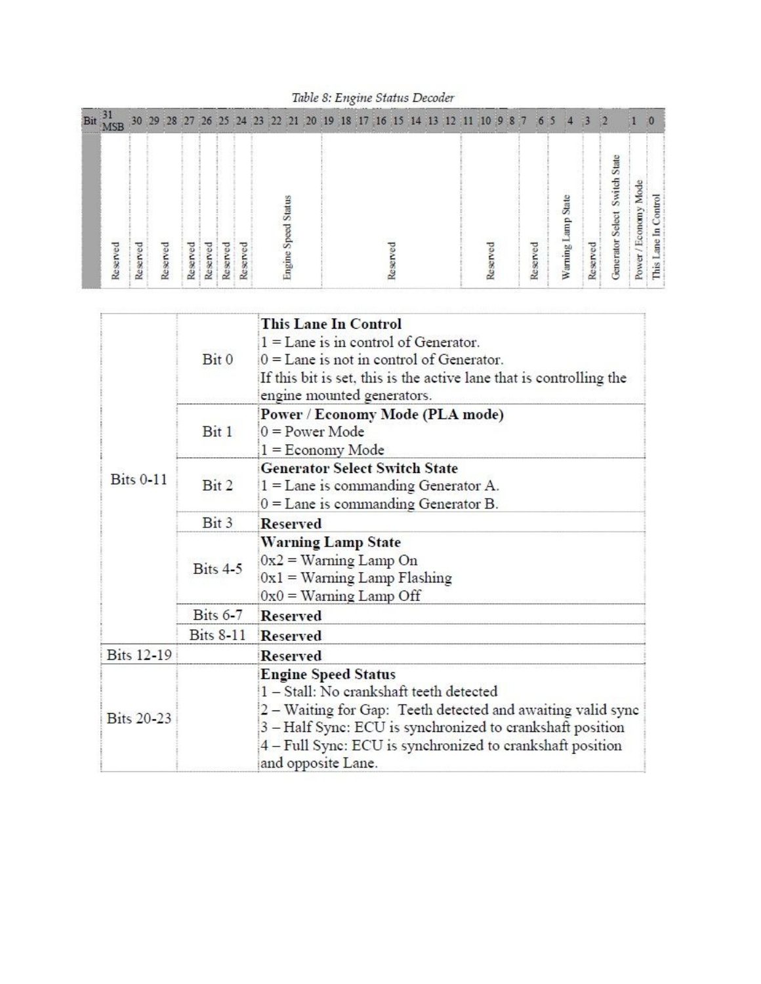Table 8: Engine Status Decoder

| Bit $\frac{31}{16}$ | <b>MSB</b> |          | 30 29 28 27 26 25 24 23 22 21 20 19 18 17 16 15 14 13 |          |          |          |          |  |                    |  |  |  |  | 12 11 10 |  | 9 8 7 |          | 65 | 4                         | -3       | -2                               |                      |                      |
|---------------------|------------|----------|-------------------------------------------------------|----------|----------|----------|----------|--|--------------------|--|--|--|--|----------|--|-------|----------|----|---------------------------|----------|----------------------------------|----------------------|----------------------|
|                     | Reserved   | Reserved | Reserved                                              | Reserved | Reserved | Reserved | Reserved |  | Status<br>Engine S |  |  |  |  |          |  |       | Reserved |    | State<br>dum<br>Warning I | Reserved | State<br>Generator Select Switch | Power / Economy Mode | This Lane In Control |

|                   | Bit 0             | <b>This Lane In Control</b><br>$1 =$ Lane is in control of Generator.<br>$0 =$ Lane is not in control of Generator.<br>If this bit is set, this is the active lane that is controlling the<br>engine mounted generators.                                                               |  |  |  |  |  |  |  |  |
|-------------------|-------------------|----------------------------------------------------------------------------------------------------------------------------------------------------------------------------------------------------------------------------------------------------------------------------------------|--|--|--|--|--|--|--|--|
|                   | Bit 1             | Power / Economy Mode (PLA mode)<br>$0 = Power Mode$<br>$1 =$ Economy Mode                                                                                                                                                                                                              |  |  |  |  |  |  |  |  |
| <b>Bits 0-11</b>  | Bit 2             | <b>Generator Select Switch State</b><br>$1 =$ Lane is commanding Generator A.<br>$0 =$ Lane is commanding Generator B.                                                                                                                                                                 |  |  |  |  |  |  |  |  |
|                   | Bit <sub>3</sub>  | <b>Reserved</b>                                                                                                                                                                                                                                                                        |  |  |  |  |  |  |  |  |
|                   | Bits 4-5          | <b>Warning Lamp State</b><br>$0x2 =$ Warning Lamp On<br>$0x1 =$ Warning Lamp Flashing<br>$0x0 =$ Warning Lamp Off                                                                                                                                                                      |  |  |  |  |  |  |  |  |
|                   | $_{\rm Bits}$ 6-7 | <b>Reserved</b>                                                                                                                                                                                                                                                                        |  |  |  |  |  |  |  |  |
|                   | <b>Bits 8-11</b>  | Reserved                                                                                                                                                                                                                                                                               |  |  |  |  |  |  |  |  |
| <b>Bits 12-19</b> |                   | <b>Reserved</b>                                                                                                                                                                                                                                                                        |  |  |  |  |  |  |  |  |
| <b>Bits 20-23</b> |                   | <b>Engine Speed Status</b><br>1 - Stall: No crankshaft teeth detected<br>2 – Waiting for Gap: Teeth detected and awaiting valid sync<br>3 - Half Sync: ECU is synchronized to crankshaft position<br>$4 - Full$ Sync: ECU is synchronized to crankshaft position<br>and opposite Lane. |  |  |  |  |  |  |  |  |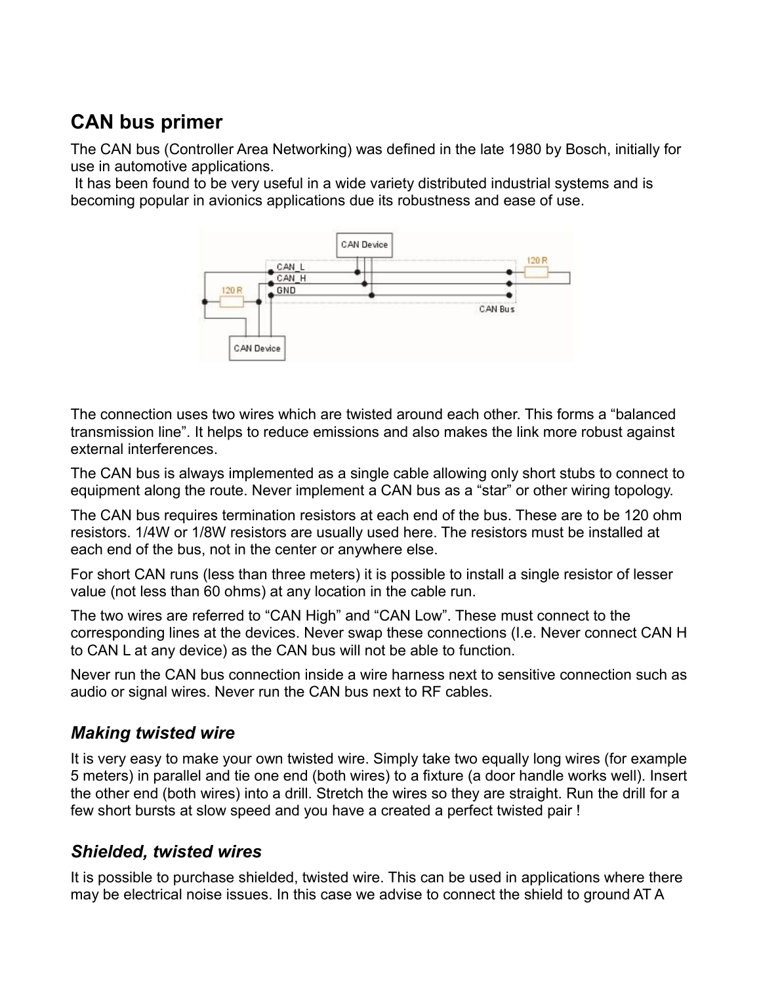## **CAN bus primer**

The CAN bus (Controller Area Networking) was defined in the late 1980 by Bosch, initially for use in automotive applications.

 It has been found to be very useful in a wide variety distributed industrial systems and is becoming popular in avionics applications due its robustness and ease of use.



The connection uses two wires which are twisted around each other. This forms a "balanced transmission line". It helps to reduce emissions and also makes the link more robust against external interferences.

The CAN bus is always implemented as a single cable allowing only short stubs to connect to equipment along the route. Never implement a CAN bus as a "star" or other wiring topology.

The CAN bus requires termination resistors at each end of the bus. These are to be 120 ohm resistors. 1/4W or 1/8W resistors are usually used here. The resistors must be installed at each end of the bus, not in the center or anywhere else.

For short CAN runs (less than three meters) it is possible to install a single resistor of lesser value (not less than 60 ohms) at any location in the cable run.

The two wires are referred to "CAN High" and "CAN Low". These must connect to the corresponding lines at the devices. Never swap these connections (I.e. Never connect CAN H to CAN L at any device) as the CAN bus will not be able to function.

Never run the CAN bus connection inside a wire harness next to sensitive connection such as audio or signal wires. Never run the CAN bus next to RF cables.

### *Making twisted wire*

It is very easy to make your own twisted wire. Simply take two equally long wires (for example 5 meters) in parallel and tie one end (both wires) to a fixture (a door handle works well). Insert the other end (both wires) into a drill. Stretch the wires so they are straight. Run the drill for a few short bursts at slow speed and you have a created a perfect twisted pair !

### *Shielded, twisted wires*

It is possible to purchase shielded, twisted wire. This can be used in applications where there may be electrical noise issues. In this case we advise to connect the shield to ground AT A